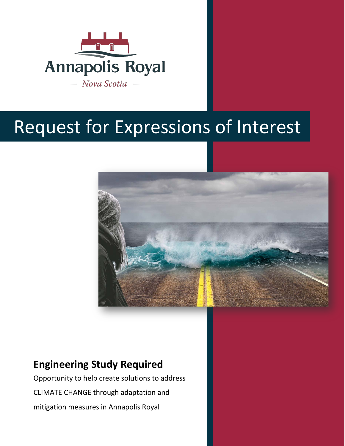

# Request for Expressions of Interest



## **Engineering Study Required**

Opportunity to help create solutions to address CLIMATE CHANGE through adaptation and mitigation measures in Annapolis Royal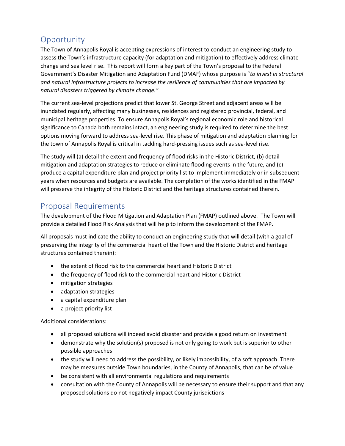### **Opportunity**

The Town of Annapolis Royal is accepting expressions of interest to conduct an engineering study to assess the Town's infrastructure capacity (for adaptation and mitigation) to effectively address climate change and sea level rise. This report will form a key part of the Town's proposal to the Federal Government's Disaster Mitigation and Adaptation Fund (DMAF) whose purpose is "*to invest in structural and natural infrastructure projects to increase the resilience of communities that are impacted by natural disasters triggered by climate change."*

The current sea-level projections predict that lower St. George Street and adjacent areas will be inundated regularly, affecting many businesses, residences and registered provincial, federal, and municipal heritage properties. To ensure Annapolis Royal's regional economic role and historical significance to Canada both remains intact, an engineering study is required to determine the best options moving forward to address sea-level rise. This phase of mitigation and adaptation planning for the town of Annapolis Royal is critical in tackling hard-pressing issues such as sea-level rise.

The study will (a) detail the extent and frequency of flood risks in the Historic District, (b) detail mitigation and adaptation strategies to reduce or eliminate flooding events in the future, and (c) produce a capital expenditure plan and project priority list to implement immediately or in subsequent years when resources and budgets are available. The completion of the works identified in the FMAP will preserve the integrity of the Historic District and the heritage structures contained therein.

#### Proposal Requirements

The development of the Flood Mitigation and Adaptation Plan (FMAP) outlined above. The Town will provide a detailed Flood Risk Analysis that will help to inform the development of the FMAP.

All proposals must indicate the ability to conduct an engineering study that will detail (with a goal of preserving the integrity of the commercial heart of the Town and the Historic District and heritage structures contained therein):

- the extent of flood risk to the commercial heart and Historic District
- the frequency of flood risk to the commercial heart and Historic District
- mitigation strategies
- adaptation strategies
- a capital expenditure plan
- a project priority list

Additional considerations:

- all proposed solutions will indeed avoid disaster and provide a good return on investment
- demonstrate why the solution(s) proposed is not only going to work but is superior to other possible approaches
- the study will need to address the possibility, or likely impossibility, of a soft approach. There may be measures outside Town boundaries, in the County of Annapolis, that can be of value
- be consistent with all environmental regulations and requirements
- consultation with the County of Annapolis will be necessary to ensure their support and that any proposed solutions do not negatively impact County jurisdictions